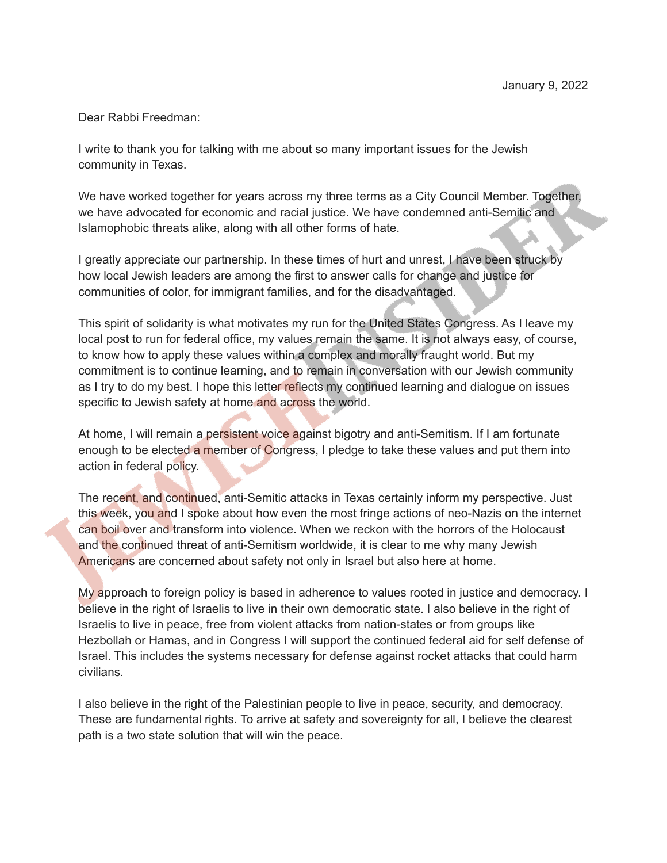Dear Rabbi Freedman:

I write to thank you for talking with me about so many important issues for the Jewish community in Texas.

We have worked together for years across my three terms as a City Council Member. Together, we have advocated for economic and racial justice. We have condemned anti-Semitic and Islamophobic threats alike, along with all other forms of hate.

I greatly appreciate our partnership. In these times of hurt and unrest, I have been struck by how local Jewish leaders are among the first to answer calls for change and justice for communities of color, for immigrant families, and for the disadvantaged.

This spirit of solidarity is what motivates my run for the United States Congress. As I leave my local post to run for federal office, my values remain the same. It is not always easy, of course, to know how to apply these values within a complex and morally fraught world. But my commitment is to continue learning, and to remain in conversation with our Jewish community as I try to do my best. I hope this letter reflects my continued learning and dialogue on issues specific to Jewish safety at home and across the world.

At home, I will remain a persistent voice against bigotry and anti-Semitism. If I am fortunate enough to be elected a member of Congress, I pledge to take these values and put them into action in federal policy.

The recent, and continued, anti-Semitic attacks in Texas certainly inform my perspective. Just this week, you and I spoke about how even the most fringe actions of neo-Nazis on the internet can boil over and transform into violence. When we reckon with the horrors of the Holocaust and the continued threat of anti-Semitism worldwide, it is clear to me why many Jewish Americans are concerned about safety not only in Israel but also here at home.

My approach to foreign policy is based in adherence to values rooted in justice and democracy. I believe in the right of Israelis to live in their own democratic state. I also believe in the right of Israelis to live in peace, free from violent attacks from nation-states or from groups like Hezbollah or Hamas, and in Congress I will support the continued federal aid for self defense of Israel. This includes the systems necessary for defense against rocket attacks that could harm civilians.

I also believe in the right of the Palestinian people to live in peace, security, and democracy. These are fundamental rights. To arrive at safety and sovereignty for all, I believe the clearest path is a two state solution that will win the peace.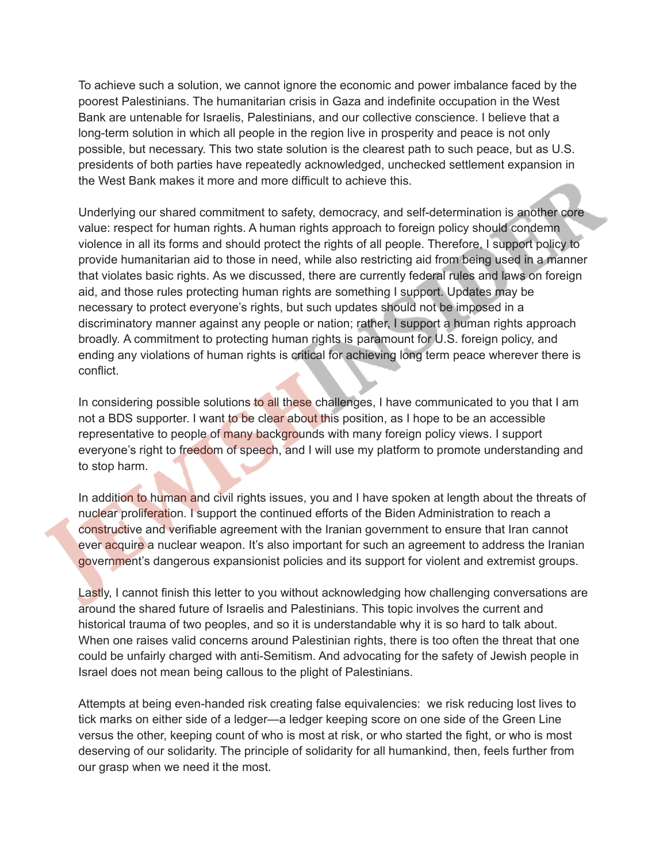To achieve such a solution, we cannot ignore the economic and power imbalance faced by the poorest Palestinians. The humanitarian crisis in Gaza and indefinite occupation in the West Bank are untenable for Israelis, Palestinians, and our collective conscience. I believe that a long-term solution in which all people in the region live in prosperity and peace is not only possible, but necessary. This two state solution is the clearest path to such peace, but as U.S. presidents of both parties have repeatedly acknowledged, unchecked settlement expansion in the West Bank makes it more and more difficult to achieve this.

Underlying our shared commitment to safety, democracy, and self-determination is another core value: respect for human rights. A human rights approach to foreign policy should condemn violence in all its forms and should protect the rights of all people. Therefore, I support policy to provide humanitarian aid to those in need, while also restricting aid from being used in a manner that violates basic rights. As we discussed, there are currently federal rules and laws on foreign aid, and those rules protecting human rights are something I support. Updates may be necessary to protect everyone's rights, but such updates should not be imposed in a discriminatory manner against any people or nation; rather, I support a human rights approach broadly. A commitment to protecting human rights is paramount for U.S. foreign policy, and ending any violations of human rights is critical for achieving long term peace wherever there is conflict.

In considering possible solutions to all these challenges, I have communicated to you that I am not a BDS supporter. I want to be clear about this position, as I hope to be an accessible representative to people of many backgrounds with many foreign policy views. I support everyone's right to freedom of speech, and I will use my platform to promote understanding and to stop harm.

In addition to human and civil rights issues, you and I have spoken at length about the threats of nuclear proliferation. I support the continued efforts of the Biden Administration to reach a constructive and verifiable agreement with the Iranian government to ensure that Iran cannot ever acquire a nuclear weapon. It's also important for such an agreement to address the Iranian government's dangerous expansionist policies and its support for violent and extremist groups.

Lastly, I cannot finish this letter to you without acknowledging how challenging conversations are around the shared future of Israelis and Palestinians. This topic involves the current and historical trauma of two peoples, and so it is understandable why it is so hard to talk about. When one raises valid concerns around Palestinian rights, there is too often the threat that one could be unfairly charged with anti-Semitism. And advocating for the safety of Jewish people in Israel does not mean being callous to the plight of Palestinians.

Attempts at being even-handed risk creating false equivalencies: we risk reducing lost lives to tick marks on either side of a ledger—a ledger keeping score on one side of the Green Line versus the other, keeping count of who is most at risk, or who started the fight, or who is most deserving of our solidarity. The principle of solidarity for all humankind, then, feels further from our grasp when we need it the most.